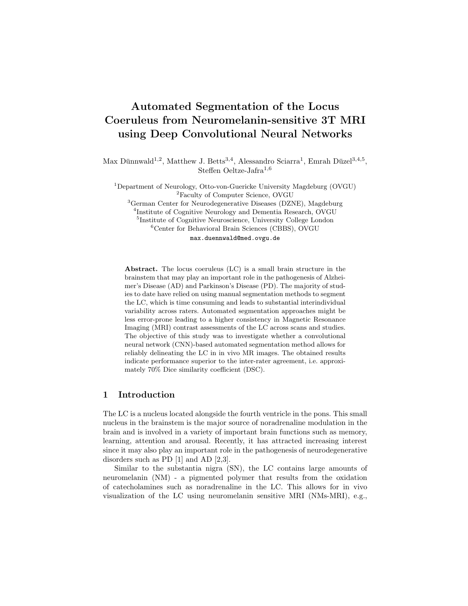# Automated Segmentation of the Locus Coeruleus from Neuromelanin-sensitive 3T MRI using Deep Convolutional Neural Networks

Max Dünnwald<sup>1,2</sup>, Matthew J. Betts<sup>3,4</sup>, Alessandro Sciarra<sup>1</sup>, Emrah Düzel<sup>3,4,5</sup>, Steffen Oeltze-Jafra<sup>1,6</sup>

<sup>1</sup>Department of Neurology, Otto-von-Guericke University Magdeburg (OVGU) <sup>2</sup>Faculty of Computer Science, OVGU <sup>3</sup>German Center for Neurodegenerative Diseases (DZNE), Magdeburg

4 Institute of Cognitive Neurology and Dementia Research, OVGU 5 Institute of Cognitive Neuroscience, University College London

<sup>6</sup>Center for Behavioral Brain Sciences (CBBS), OVGU

max.duennwald@med.ovgu.de

Abstract. The locus coeruleus (LC) is a small brain structure in the brainstem that may play an important role in the pathogenesis of Alzheimer's Disease (AD) and Parkinson's Disease (PD). The majority of studies to date have relied on using manual segmentation methods to segment the LC, which is time consuming and leads to substantial interindividual variability across raters. Automated segmentation approaches might be less error-prone leading to a higher consistency in Magnetic Resonance Imaging (MRI) contrast assessments of the LC across scans and studies. The objective of this study was to investigate whether a convolutional neural network (CNN)-based automated segmentation method allows for reliably delineating the LC in in vivo MR images. The obtained results indicate performance superior to the inter-rater agreement, i.e. approximately 70% Dice similarity coefficient (DSC).

# 1 Introduction

The LC is a nucleus located alongside the fourth ventricle in the pons. This small nucleus in the brainstem is the major source of noradrenaline modulation in the brain and is involved in a variety of important brain functions such as memory, learning, attention and arousal. Recently, it has attracted increasing interest since it may also play an important role in the pathogenesis of neurodegenerative disorders such as PD [1] and AD [2,3].

Similar to the substantia nigra (SN), the LC contains large amounts of neuromelanin (NM) - a pigmented polymer that results from the oxidation of catecholamines such as noradrenaline in the LC. This allows for in vivo visualization of the LC using neuromelanin sensitive MRI (NMs-MRI), e.g.,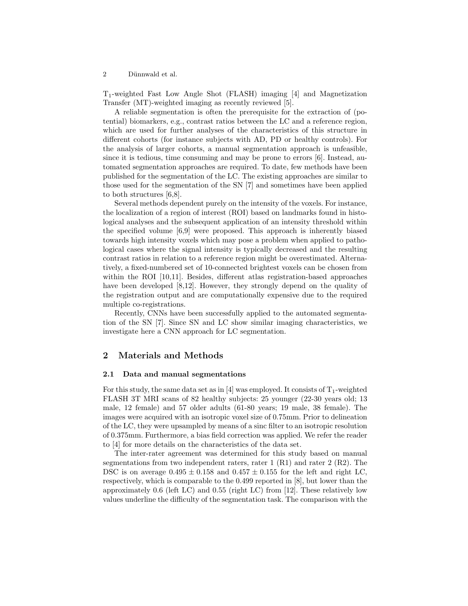2 Dünnwald et al.

T1-weighted Fast Low Angle Shot (FLASH) imaging [4] and Magnetization Transfer (MT)-weighted imaging as recently reviewed [5].

A reliable segmentation is often the prerequisite for the extraction of (potential) biomarkers, e.g., contrast ratios between the LC and a reference region, which are used for further analyses of the characteristics of this structure in different cohorts (for instance subjects with AD, PD or healthy controls). For the analysis of larger cohorts, a manual segmentation approach is unfeasible, since it is tedious, time consuming and may be prone to errors [6]. Instead, automated segmentation approaches are required. To date, few methods have been published for the segmentation of the LC. The existing approaches are similar to those used for the segmentation of the SN [7] and sometimes have been applied to both structures [6,8].

Several methods dependent purely on the intensity of the voxels. For instance, the localization of a region of interest (ROI) based on landmarks found in histological analyses and the subsequent application of an intensity threshold within the specified volume [6,9] were proposed. This approach is inherently biased towards high intensity voxels which may pose a problem when applied to pathological cases where the signal intensity is typically decreased and the resulting contrast ratios in relation to a reference region might be overestimated. Alternatively, a fixed-numbered set of 10-connected brightest voxels can be chosen from within the ROI [10,11]. Besides, different atlas registration-based approaches have been developed [8,12]. However, they strongly depend on the quality of the registration output and are computationally expensive due to the required multiple co-registrations.

Recently, CNNs have been successfully applied to the automated segmentation of the SN [7]. Since SN and LC show similar imaging characteristics, we investigate here a CNN approach for LC segmentation.

# 2 Materials and Methods

#### 2.1 Data and manual segmentations

For this study, the same data set as in [4] was employed. It consists of  $T_1$ -weighted FLASH 3T MRI scans of 82 healthy subjects: 25 younger (22-30 years old; 13 male, 12 female) and 57 older adults (61-80 years; 19 male, 38 female). The images were acquired with an isotropic voxel size of 0.75mm. Prior to delineation of the LC, they were upsampled by means of a sinc filter to an isotropic resolution of 0.375mm. Furthermore, a bias field correction was applied. We refer the reader to [4] for more details on the characteristics of the data set.

The inter-rater agreement was determined for this study based on manual segmentations from two independent raters, rater  $1(R1)$  and rater  $2(R2)$ . The DSC is on average  $0.495 \pm 0.158$  and  $0.457 \pm 0.155$  for the left and right LC, respectively, which is comparable to the 0.499 reported in [8], but lower than the approximately 0.6 (left LC) and 0.55 (right LC) from [12]. These relatively low values underline the difficulty of the segmentation task. The comparison with the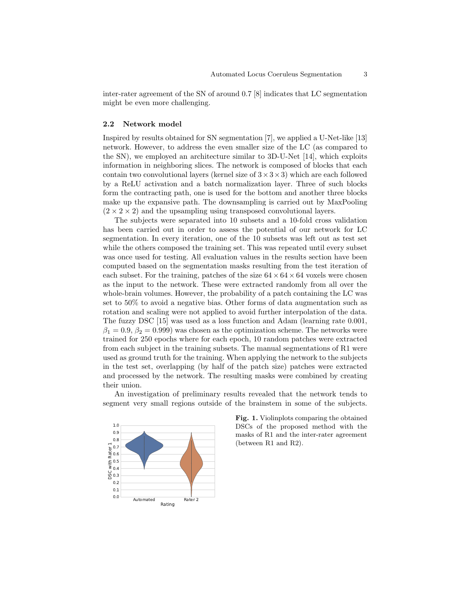inter-rater agreement of the SN of around 0.7 [8] indicates that LC segmentation might be even more challenging.

#### 2.2 Network model

Inspired by results obtained for SN segmentation [7], we applied a U-Net-like [13] network. However, to address the even smaller size of the LC (as compared to the SN), we employed an architecture similar to 3D-U-Net [14], which exploits information in neighboring slices. The network is composed of blocks that each contain two convolutional layers (kernel size of  $3 \times 3 \times 3$ ) which are each followed by a ReLU activation and a batch normalization layer. Three of such blocks form the contracting path, one is used for the bottom and another three blocks make up the expansive path. The downsampling is carried out by MaxPooling  $(2 \times 2 \times 2)$  and the upsampling using transposed convolutional layers.

The subjects were separated into 10 subsets and a 10-fold cross validation has been carried out in order to assess the potential of our network for LC segmentation. In every iteration, one of the 10 subsets was left out as test set while the others composed the training set. This was repeated until every subset was once used for testing. All evaluation values in the results section have been computed based on the segmentation masks resulting from the test iteration of each subset. For the training, patches of the size  $64 \times 64 \times 64$  voxels were chosen as the input to the network. These were extracted randomly from all over the whole-brain volumes. However, the probability of a patch containing the LC was set to 50% to avoid a negative bias. Other forms of data augmentation such as rotation and scaling were not applied to avoid further interpolation of the data. The fuzzy DSC [15] was used as a loss function and Adam (learning rate 0.001,  $\beta_1 = 0.9, \beta_2 = 0.999$  was chosen as the optimization scheme. The networks were trained for 250 epochs where for each epoch, 10 random patches were extracted from each subject in the training subsets. The manual segmentations of R1 were used as ground truth for the training. When applying the network to the subjects in the test set, overlapping (by half of the patch size) patches were extracted and processed by the network. The resulting masks were combined by creating their union.

An investigation of preliminary results revealed that the network tends to segment very small regions outside of the brainstem in some of the subjects.



Fig. 1. Violinplots comparing the obtained DSCs of the proposed method with the masks of R1 and the inter-rater agreement (between R1 and R2).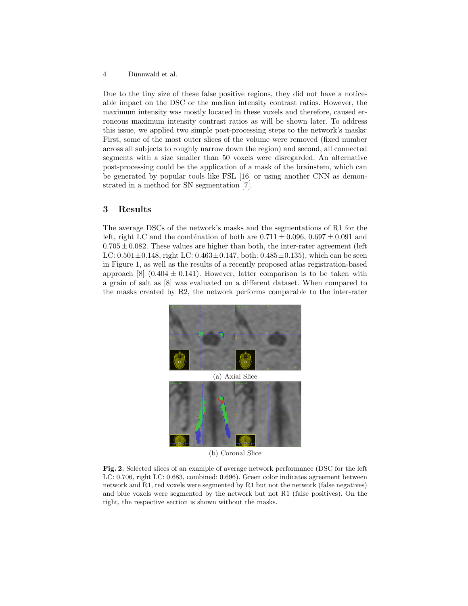4 Dünnwald et al.

Due to the tiny size of these false positive regions, they did not have a noticeable impact on the DSC or the median intensity contrast ratios. However, the maximum intensity was mostly located in these voxels and therefore, caused erroneous maximum intensity contrast ratios as will be shown later. To address this issue, we applied two simple post-processing steps to the network's masks: First, some of the most outer slices of the volume were removed (fixed number across all subjects to roughly narrow down the region) and second, all connected segments with a size smaller than 50 voxels were disregarded. An alternative post-processing could be the application of a mask of the brainstem, which can be generated by popular tools like FSL [16] or using another CNN as demonstrated in a method for SN segmentation [7].

# 3 Results

The average DSCs of the network's masks and the segmentations of R1 for the left, right LC and the combination of both are  $0.711 \pm 0.096$ ,  $0.697 \pm 0.091$  and  $0.705 \pm 0.082$ . These values are higher than both, the inter-rater agreement (left) LC:  $0.501 \pm 0.148$ , right LC:  $0.463 \pm 0.147$ , both:  $0.485 \pm 0.135$ ), which can be seen in Figure 1, as well as the results of a recently proposed atlas registration-based approach [8]  $(0.404 \pm 0.141)$ . However, latter comparison is to be taken with a grain of salt as [8] was evaluated on a different dataset. When compared to the masks created by R2, the network performs comparable to the inter-rater



(a) Axial Slice



(b) Coronal Slice

Fig. 2. Selected slices of an example of average network performance (DSC for the left LC: 0.706, right LC: 0.683, combined: 0.696). Green color indicates agreement between network and R1, red voxels were segmented by R1 but not the network (false negatives) and blue voxels were segmented by the network but not R1 (false positives). On the right, the respective section is shown without the masks.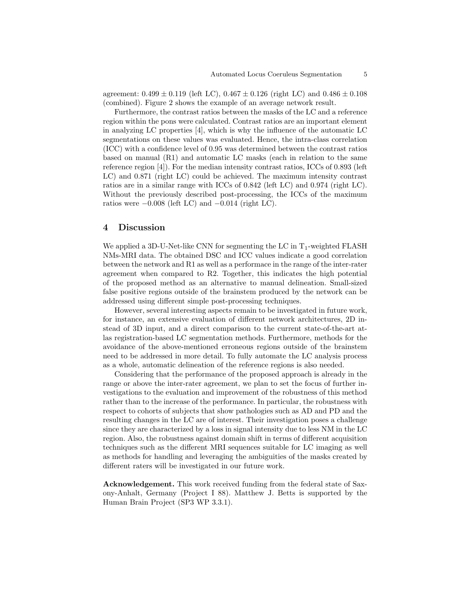agreement:  $0.499 \pm 0.119$  (left LC),  $0.467 \pm 0.126$  (right LC) and  $0.486 \pm 0.108$ (combined). Figure 2 shows the example of an average network result.

Furthermore, the contrast ratios between the masks of the LC and a reference region within the pons were calculated. Contrast ratios are an important element in analyzing LC properties [4], which is why the influence of the automatic LC segmentations on these values was evaluated. Hence, the intra-class correlation (ICC) with a confidence level of 0.95 was determined between the contrast ratios based on manual (R1) and automatic LC masks (each in relation to the same reference region [4]). For the median intensity contrast ratios, ICCs of 0.893 (left LC) and 0.871 (right LC) could be achieved. The maximum intensity contrast ratios are in a similar range with ICCs of 0.842 (left LC) and 0.974 (right LC). Without the previously described post-processing, the ICCs of the maximum ratios were  $-0.008$  (left LC) and  $-0.014$  (right LC).

# 4 Discussion

We applied a 3D-U-Net-like CNN for segmenting the LC in  $T_1$ -weighted FLASH NMs-MRI data. The obtained DSC and ICC values indicate a good correlation between the network and R1 as well as a performace in the range of the inter-rater agreement when compared to R2. Together, this indicates the high potential of the proposed method as an alternative to manual delineation. Small-sized false positive regions outside of the brainstem produced by the network can be addressed using different simple post-processing techniques.

However, several interesting aspects remain to be investigated in future work, for instance, an extensive evaluation of different network architectures, 2D instead of 3D input, and a direct comparison to the current state-of-the-art atlas registration-based LC segmentation methods. Furthermore, methods for the avoidance of the above-mentioned erroneous regions outside of the brainstem need to be addressed in more detail. To fully automate the LC analysis process as a whole, automatic delineation of the reference regions is also needed.

Considering that the performance of the proposed approach is already in the range or above the inter-rater agreement, we plan to set the focus of further investigations to the evaluation and improvement of the robustness of this method rather than to the increase of the performance. In particular, the robustness with respect to cohorts of subjects that show pathologies such as AD and PD and the resulting changes in the LC are of interest. Their investigation poses a challenge since they are characterized by a loss in signal intensity due to less NM in the LC region. Also, the robustness against domain shift in terms of different acquisition techniques such as the different MRI sequences suitable for LC imaging as well as methods for handling and leveraging the ambiguities of the masks created by different raters will be investigated in our future work.

Acknowledgement. This work received funding from the federal state of Saxony-Anhalt, Germany (Project I 88). Matthew J. Betts is supported by the Human Brain Project (SP3 WP 3.3.1).